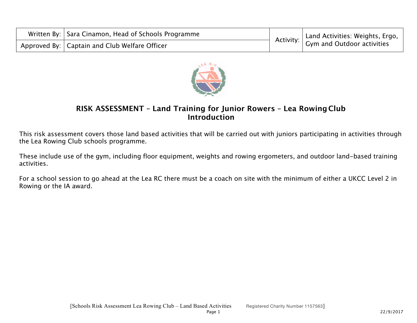| Written By:   Sara Cinamon, Head of Schools Programme | $\frac{1}{2}$ Activity: $\Big $ Land Activities: Weights, Ergo, $\Big $ |
|-------------------------------------------------------|-------------------------------------------------------------------------|
| Approved By:   Captain and Club Welfare Officer       |                                                                         |



## **RISK ASSESSMENT – Land Training for Junior Rowers – Lea Rowing Club Introduction**

This risk assessment covers those land based activities that will be carried out with juniors participating in activities through the Lea Rowing Club schools programme.

These include use of the gym, including floor equipment, weights and rowing ergometers, and outdoor land-based training activities.

For a school session to go ahead at the Lea RC there must be a coach on site with the minimum of either a UKCC Level 2 in Rowing or the IA award.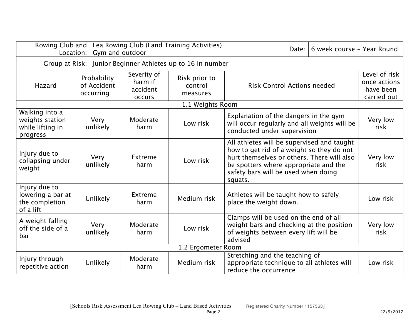| Rowing Club and<br>Lea Rowing Club (Land Training Activities)<br>Gym and outdoor<br>Location: |                                         |                  |                                              |                                                                            |                                                                                                                                                                                                                                  | Date: | 6 week course - Year Round                                |                  |
|-----------------------------------------------------------------------------------------------|-----------------------------------------|------------------|----------------------------------------------|----------------------------------------------------------------------------|----------------------------------------------------------------------------------------------------------------------------------------------------------------------------------------------------------------------------------|-------|-----------------------------------------------------------|------------------|
| Junior Beginner Athletes up to 16 in number<br>Group at Risk:                                 |                                         |                  |                                              |                                                                            |                                                                                                                                                                                                                                  |       |                                                           |                  |
| Hazard                                                                                        | Probability<br>of Accident<br>occurring |                  | Severity of<br>harm if<br>accident<br>occurs | Risk prior to<br><b>Risk Control Actions needed</b><br>control<br>measures |                                                                                                                                                                                                                                  |       | Level of risk<br>once actions<br>have been<br>carried out |                  |
|                                                                                               |                                         |                  |                                              | 1.1 Weights Room                                                           |                                                                                                                                                                                                                                  |       |                                                           |                  |
| Walking into a<br>weights station<br>while lifting in<br>progress                             |                                         | Very<br>unlikely | Moderate<br>harm                             | Low risk                                                                   | Explanation of the dangers in the gym<br>will occur regularly and all weights will be<br>conducted under supervision                                                                                                             |       |                                                           | Very low<br>risk |
| Injury due to<br>collapsing under<br>weight                                                   |                                         | Very<br>unlikely | Extreme<br>harm                              | Low risk                                                                   | All athletes will be supervised and taught<br>how to get rid of a weight so they do not<br>hurt themselves or others. There will also<br>be spotters where appropriate and the<br>safety bars will be used when doing<br>squats. |       |                                                           | Very low<br>risk |
| Injury due to<br>lowering a bar at<br>the completion<br>of a lift                             |                                         | <b>Unlikely</b>  | Extreme<br>harm                              | Medium risk                                                                | Athletes will be taught how to safely<br>place the weight down.                                                                                                                                                                  |       |                                                           | Low risk         |
| A weight falling<br>off the side of a<br>bar                                                  |                                         | Very<br>unlikely | Moderate<br>harm                             | Low risk                                                                   | Clamps will be used on the end of all<br>weight bars and checking at the position<br>of weights between every lift will be<br>advised                                                                                            |       |                                                           | Very low<br>risk |
| 1.2 Ergometer Room                                                                            |                                         |                  |                                              |                                                                            |                                                                                                                                                                                                                                  |       |                                                           |                  |
| Injury through<br>repetitive action                                                           |                                         | Unlikely         | Moderate<br>harm                             | Medium risk                                                                | Stretching and the teaching of<br>appropriate technique to all athletes will<br>reduce the occurrence                                                                                                                            |       |                                                           | Low risk         |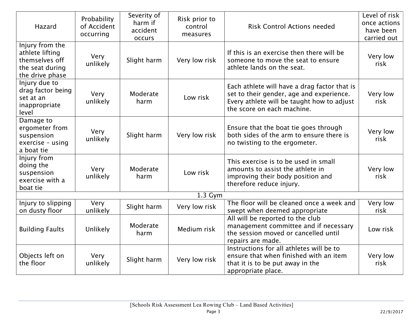| Hazard                                                                                     | Probability<br>of Accident<br>occurring | Severity of<br>harm if<br>accident<br>occurs | Risk prior to<br>control<br>measures | <b>Risk Control Actions needed</b>                                                                                                                                   | Level of risk<br>once actions<br>have been<br>carried out |
|--------------------------------------------------------------------------------------------|-----------------------------------------|----------------------------------------------|--------------------------------------|----------------------------------------------------------------------------------------------------------------------------------------------------------------------|-----------------------------------------------------------|
| Injury from the<br>athlete lifting<br>themselves off<br>the seat during<br>the drive phase | Very<br>unlikely                        | Slight harm                                  | Very low risk                        | If this is an exercise then there will be<br>someone to move the seat to ensure<br>athlete lands on the seat.                                                        | Very low<br>risk                                          |
| Injury due to<br>drag factor being<br>set at an<br>inappropriate<br>level                  | Very<br>unlikely                        | Moderate<br>harm                             | Low risk                             | Each athlete will have a drag factor that is<br>set to their gender, age and experience.<br>Every athlete will be taught how to adjust<br>the score on each machine. | Very low<br>risk                                          |
| Damage to<br>ergometer from<br>suspension<br>exercise - using<br>a boat tie                | Very<br>unlikely                        | Slight harm                                  | Very low risk                        | Ensure that the boat tie goes through<br>both sides of the arm to ensure there is<br>no twisting to the ergometer.                                                   | Very low<br>risk                                          |
| Injury from<br>doing the<br>suspension<br>exercise with a<br>boat tie                      | Very<br>unlikely                        | Moderate<br>harm                             | Low risk                             | This exercise is to be used in small<br>amounts to assist the athlete in<br>improving their body position and<br>therefore reduce injury.                            | Very low<br>risk                                          |
|                                                                                            |                                         |                                              | $1.3$ Gym                            |                                                                                                                                                                      |                                                           |
| Injury to slipping<br>on dusty floor                                                       | Very<br>unlikely                        | Slight harm                                  | Very low risk                        | The floor will be cleaned once a week and<br>swept when deemed appropriate                                                                                           | Very low<br>risk                                          |
| <b>Building Faults</b>                                                                     | Unlikely                                | Moderate<br>harm                             | Medium risk                          | All will be reported to the club<br>management committee and if necessary<br>the session moved or cancelled until<br>repairs are made.                               | Low risk                                                  |
| Objects left on<br>the floor                                                               | Very<br>unlikely                        | Slight harm                                  | Very low risk                        | Instructions for all athletes will be to<br>ensure that when finished with an item<br>that it is to be put away in the<br>appropriate place.                         | Very low<br>risk                                          |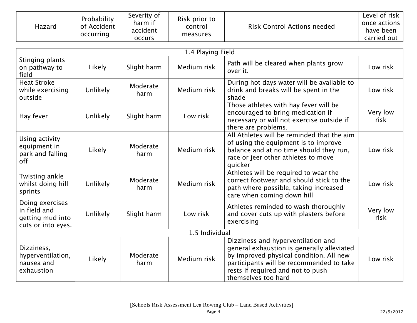| Hazard | Probability<br>of Accident<br>occurring | Severity of<br>harm if<br>accident<br><b>OCCULS</b> | Risk prior to<br>control<br>measures | <b>Risk Control Actions needed</b> | Level of risk<br>once actions<br>have been<br>carried out |
|--------|-----------------------------------------|-----------------------------------------------------|--------------------------------------|------------------------------------|-----------------------------------------------------------|
|--------|-----------------------------------------|-----------------------------------------------------|--------------------------------------|------------------------------------|-----------------------------------------------------------|

| 1.4 Playing Field                                                         |                 |                  |             |                                                                                                                                                                                                                                     |                  |  |  |
|---------------------------------------------------------------------------|-----------------|------------------|-------------|-------------------------------------------------------------------------------------------------------------------------------------------------------------------------------------------------------------------------------------|------------------|--|--|
| Stinging plants<br>on pathway to<br>field                                 | Likely          | Slight harm      | Medium risk | Path will be cleared when plants grow<br>over it.                                                                                                                                                                                   | Low risk         |  |  |
| <b>Heat Stroke</b><br>while exercising<br>outside                         | Unlikely        | Moderate<br>harm | Medium risk | During hot days water will be available to<br>drink and breaks will be spent in the<br>shade                                                                                                                                        | Low risk         |  |  |
| Hay fever                                                                 | Unlikely        | Slight harm      | Low risk    | Those athletes with hay fever will be<br>encouraged to bring medication if<br>necessary or will not exercise outside if<br>there are problems.                                                                                      | Very low<br>risk |  |  |
| Using activity<br>equipment in<br>park and falling<br>off                 | Likely          | Moderate<br>harm | Medium risk | All Athletes will be reminded that the aim<br>of using the equipment is to improve<br>balance and at no time should they run,<br>race or jeer other athletes to move<br>quicker                                                     | Low risk         |  |  |
| Twisting ankle<br>whilst doing hill<br>sprints                            | <b>Unlikely</b> | Moderate<br>harm | Medium risk | Athletes will be required to wear the<br>correct footwear and should stick to the<br>path where possible, taking increased<br>care when coming down hill                                                                            | Low risk         |  |  |
| Doing exercises<br>in field and<br>getting mud into<br>cuts or into eyes. | Unlikely        | Slight harm      | Low risk    | Athletes reminded to wash thoroughly<br>and cover cuts up with plasters before<br>exercising                                                                                                                                        | Very low<br>risk |  |  |
| 1.5 Individual                                                            |                 |                  |             |                                                                                                                                                                                                                                     |                  |  |  |
| Dizziness,<br>hyperventilation,<br>nausea and<br>exhaustion               | Likely          | Moderate<br>harm | Medium risk | Dizziness and hyperventilation and<br>general exhaustion is generally alleviated<br>by improved physical condition. All new<br>participants will be recommended to take<br>rests if required and not to push<br>themselves too hard | Low risk         |  |  |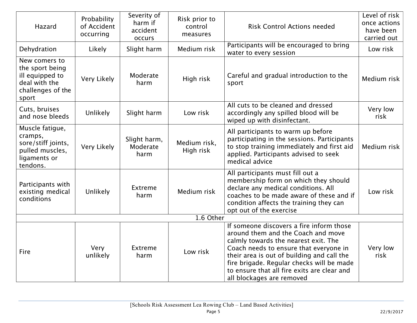| Hazard                                                                                             | Probability<br>of Accident<br>occurring | Severity of<br>harm if<br>accident<br>occurs | Risk prior to<br>control<br>measures | <b>Risk Control Actions needed</b>                                                                                                                                                                                                                                                                                                      | Level of risk<br>once actions<br>have been<br>carried out |
|----------------------------------------------------------------------------------------------------|-----------------------------------------|----------------------------------------------|--------------------------------------|-----------------------------------------------------------------------------------------------------------------------------------------------------------------------------------------------------------------------------------------------------------------------------------------------------------------------------------------|-----------------------------------------------------------|
| Dehydration                                                                                        | Likely                                  | Slight harm                                  | Medium risk                          | Participants will be encouraged to bring<br>water to every session                                                                                                                                                                                                                                                                      | Low risk                                                  |
| New comers to<br>the sport being<br>ill equipped to<br>deal with the<br>challenges of the<br>sport | Very Likely                             | Moderate<br>harm                             | High risk                            | Careful and gradual introduction to the<br>sport                                                                                                                                                                                                                                                                                        | Medium risk                                               |
| Cuts, bruises<br>and nose bleeds                                                                   | Unlikely                                | Slight harm                                  | Low risk                             | All cuts to be cleaned and dressed<br>accordingly any spilled blood will be<br>wiped up with disinfectant.                                                                                                                                                                                                                              | Very low<br>risk                                          |
| Muscle fatigue,<br>cramps,<br>sore/stiff joints,<br>pulled muscles,<br>ligaments or<br>tendons.    | Very Likely                             | Slight harm,<br>Moderate<br>harm             | Medium risk,<br>High risk            | All participants to warm up before<br>participating in the sessions. Participants<br>to stop training immediately and first aid<br>applied. Participants advised to seek<br>medical advice                                                                                                                                              | Medium risk                                               |
| Participants with<br>existing medical<br>conditions                                                | Unlikely                                | Extreme<br>harm                              | Medium risk                          | All participants must fill out a<br>membership form on which they should<br>declare any medical conditions. All<br>coaches to be made aware of these and if<br>condition affects the training they can<br>opt out of the exercise                                                                                                       | Low risk                                                  |
|                                                                                                    |                                         |                                              | 1.6 Other                            |                                                                                                                                                                                                                                                                                                                                         |                                                           |
| Fire                                                                                               | Very<br>unlikely                        | Extreme<br>harm                              | Low risk                             | If someone discovers a fire inform those<br>around them and the Coach and move<br>calmly towards the nearest exit. The<br>Coach needs to ensure that everyone in<br>their area is out of building and call the<br>fire brigade. Regular checks will be made<br>to ensure that all fire exits are clear and<br>all blockages are removed | Very low<br>risk                                          |